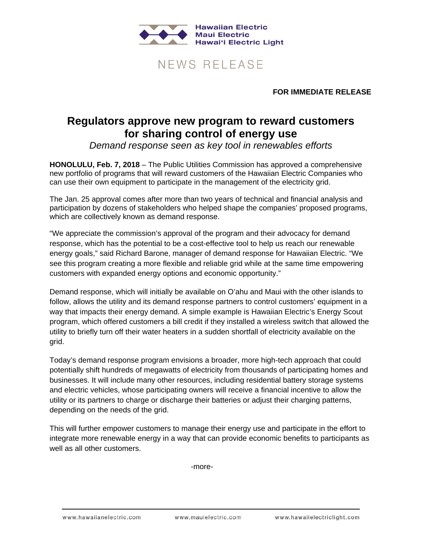

## NEWS RELEASE

**FOR IMMEDIATE RELEASE**

## **Regulators approve new program to reward customers for sharing control of energy use**

*Demand response seen as key tool in renewables efforts*

**HONOLULU, Feb. 7, 2018** – The Public Utilities Commission has approved a comprehensive new portfolio of programs that will reward customers of the Hawaiian Electric Companies who can use their own equipment to participate in the management of the electricity grid.

The Jan. 25 approval comes after more than two years of technical and financial analysis and participation by dozens of stakeholders who helped shape the companies' proposed programs, which are collectively known as demand response.

"We appreciate the commission's approval of the program and their advocacy for demand response, which has the potential to be a cost-effective tool to help us reach our renewable energy goals," said Richard Barone, manager of demand response for Hawaiian Electric. "We see this program creating a more flexible and reliable grid while at the same time empowering customers with expanded energy options and economic opportunity."

Demand response, which will initially be available on O'ahu and Maui with the other islands to follow, allows the utility and its demand response partners to control customers' equipment in a way that impacts their energy demand. A simple example is Hawaiian Electric's Energy Scout program, which offered customers a bill credit if they installed a wireless switch that allowed the utility to briefly turn off their water heaters in a sudden shortfall of electricity available on the grid.

Today's demand response program envisions a broader, more high-tech approach that could potentially shift hundreds of megawatts of electricity from thousands of participating homes and businesses. It will include many other resources, including residential battery storage systems and electric vehicles, whose participating owners will receive a financial incentive to allow the utility or its partners to charge or discharge their batteries or adjust their charging patterns, depending on the needs of the grid.

This will further empower customers to manage their energy use and participate in the effort to integrate more renewable energy in a way that can provide economic benefits to participants as well as all other customers.

-more-

www.hawaiianelectric.com